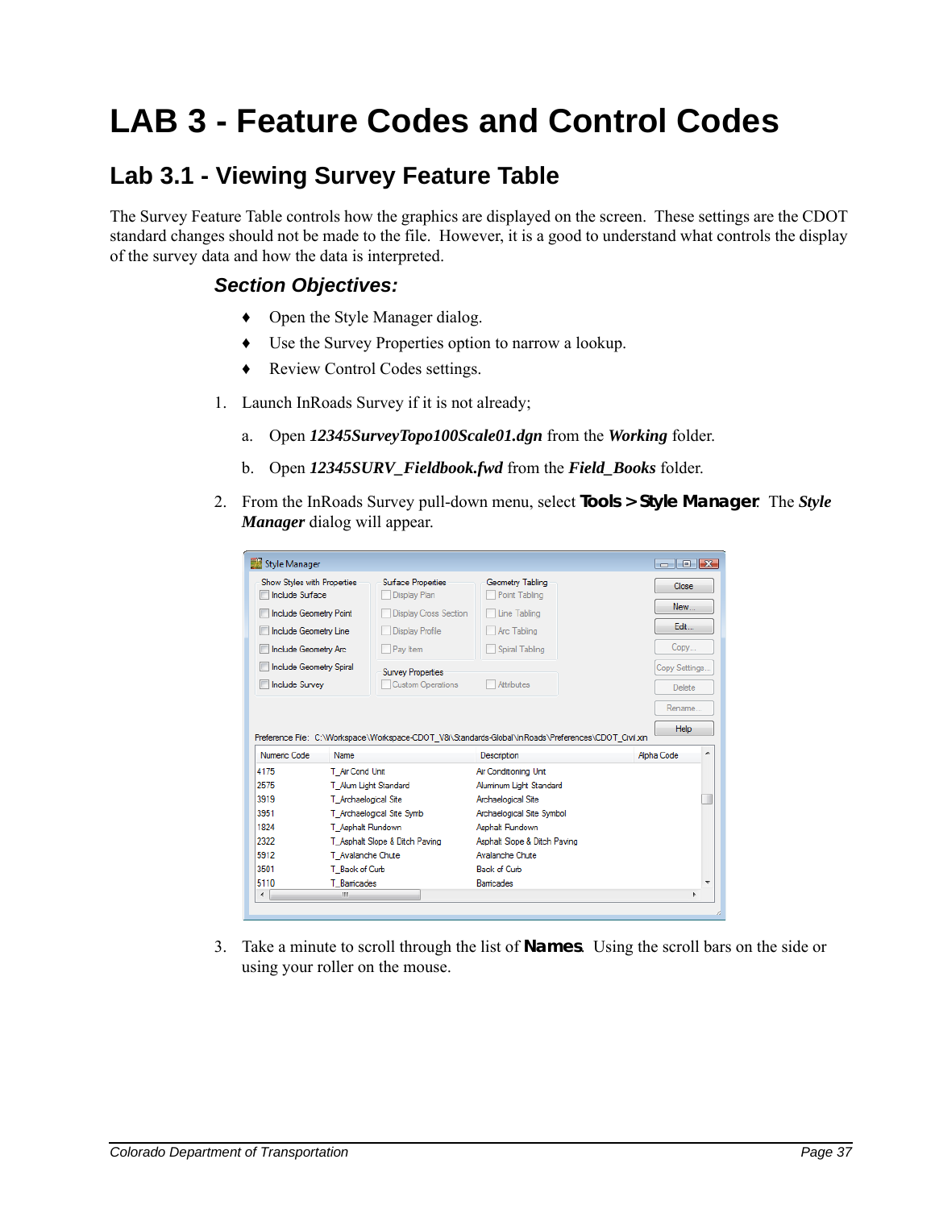## **LAB 3 - Feature Codes and Control Codes**

## **Lab 3.1 - Viewing Survey Feature Table**

The Survey Feature Table controls how the graphics are displayed on the screen. These settings are the CDOT standard changes should not be made to the file. However, it is a good to understand what controls the display of the survey data and how the data is interpreted.

## *Section Objectives:*

- ♦ Open the Style Manager dialog.
- ♦ Use the Survey Properties option to narrow a lookup.
- ♦ Review Control Codes settings.
- 1. Launch InRoads Survey if it is not already;
	- a. Open *12345SurveyTopo100Scale01.dgn* from the *Working* folder.
	- b. Open *12345SURV\_Fieldbook.fwd* from the *Field\_Books* folder.
- 2. From the InRoads Survey pull-down menu, select **Tools > Style Manager**. The *Style Manager* dialog will appear.

| Show Styles with Properties<br><b>Include Surface</b> |                      | Surface Properties<br>Display Plan                                                                   | Geometry Tabling<br>Point Tabling | Close              |
|-------------------------------------------------------|----------------------|------------------------------------------------------------------------------------------------------|-----------------------------------|--------------------|
| Include Geometry Point                                |                      | <b>Display Cross Section</b>                                                                         | Line Tabling                      | New                |
| Include Geometry Line                                 |                      | <b>Display Profile</b>                                                                               | Arc Tabling                       | Edit               |
| Include Geometry Arc                                  |                      | Pay Item                                                                                             | Spiral Tabling                    | Copy               |
| Include Geometry Spiral                               |                      | <b>Survey Properties</b>                                                                             |                                   | Copy Settings      |
| <b>Include Survey</b>                                 |                      | <b>Custom Operations</b>                                                                             | <b>Attributes</b>                 | <b>Delete</b>      |
|                                                       |                      |                                                                                                      |                                   |                    |
|                                                       |                      |                                                                                                      |                                   | Rename             |
| Numeric Code                                          | Name                 | Preference File: C:\Workspace\Workspace-CDOT V8i\Standards-Global\InRoads\Preferences\CDOT Civil xin | Description                       | Help<br>Alpha Code |
|                                                       | T Air Cond Unit      |                                                                                                      | Air Conditioning Unit             |                    |
|                                                       |                      | T Alum Light Standard                                                                                | Aluminum Light Standard           |                    |
|                                                       | T Archaelogical Site |                                                                                                      | Archaelogical Site                |                    |
|                                                       |                      | T Archaelogical Site Symb                                                                            | Archaelogical Site Symbol         |                    |
|                                                       | T Asphalt Rundown    |                                                                                                      | Asphalt Rundown                   |                    |
|                                                       |                      | T_Asphalt Slope & Ditch Paving                                                                       | Asphalt Slope & Ditch Paving      |                    |
| 4175<br>2575<br>3919<br>3951<br>1824<br>2322<br>5912  | T Avalanche Chute    |                                                                                                      | Avalanche Chute                   |                    |
| 3501                                                  | T Back of Curb       |                                                                                                      | <b>Back of Curb</b>               |                    |

3. Take a minute to scroll through the list of **Names**. Using the scroll bars on the side or using your roller on the mouse.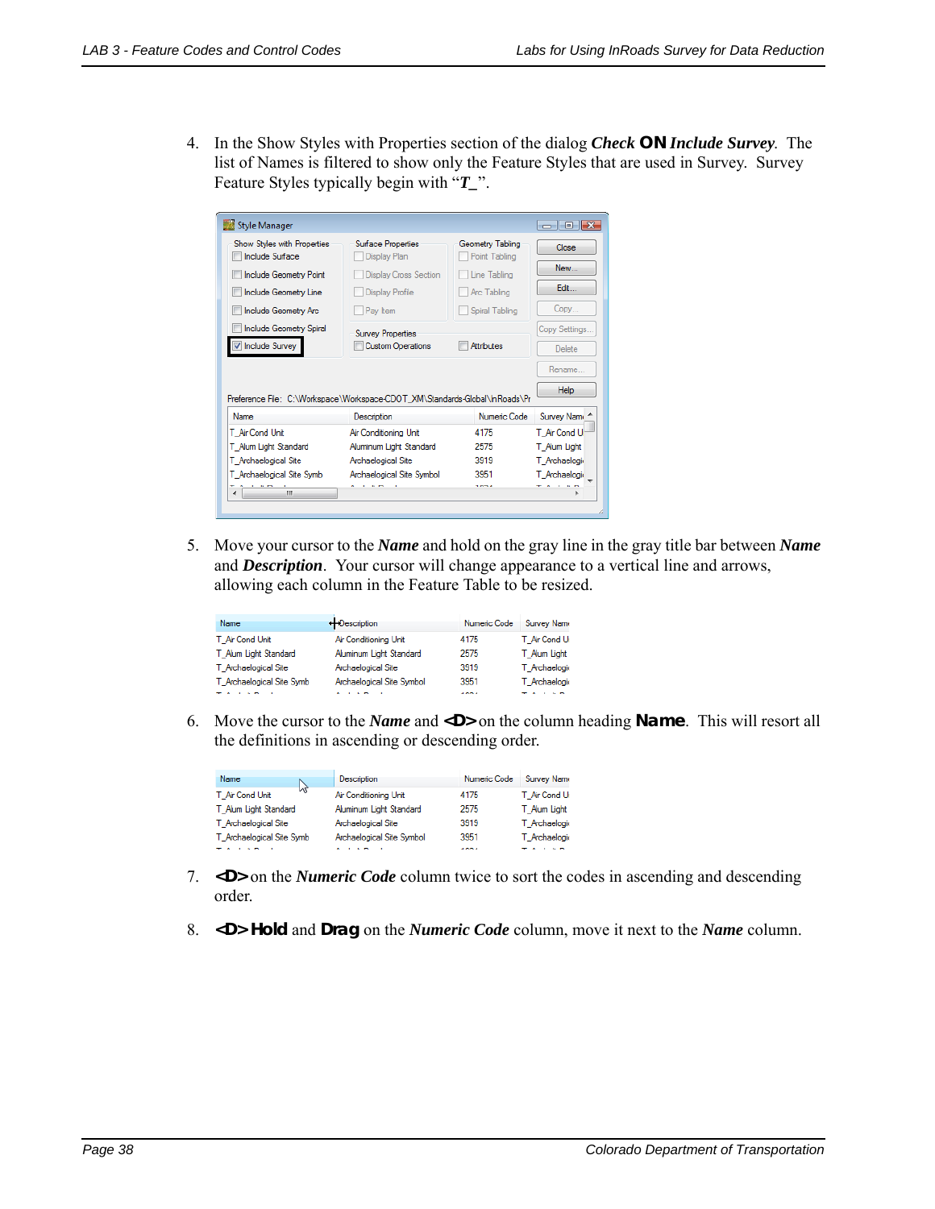4. In the Show Styles with Properties section of the dialog *Check* **ON** *Include Survey*. The list of Names is filtered to show only the Feature Styles that are used in Survey. Survey Feature Styles typically begin with "*T\_*".

| Style Manager                                                               |                                            |                                   | $-x$<br>同<br>$\overline{\phantom{0}}$ |
|-----------------------------------------------------------------------------|--------------------------------------------|-----------------------------------|---------------------------------------|
| Show Styles with Properties<br><b>Include Surface</b>                       | Surface Properties<br>Display Plan         | Geometry Tabling<br>Point Tabling | Close                                 |
| <b>Include Geometry Point</b>                                               | <b>Display Cross Section</b>               | Line Tabling                      | New                                   |
| Include Geometry Line                                                       | <b>Display Profile</b>                     | Arc Tabling                       | Edit                                  |
| Include Geometry Arc                                                        | Pav Item                                   | Spiral Tabling                    | Copy                                  |
| Include Geometry Spiral                                                     | <b>Survey Properties</b>                   |                                   | Copy Settings                         |
| Include Survey                                                              | <b>Custom Operations</b>                   | <b>Attributes</b>                 | <b>Delete</b>                         |
|                                                                             |                                            |                                   | Rename                                |
| Preference File: C:\Workspace\Workspace-CDOT XM\Standards-Global\InRoads\Pr |                                            |                                   | Help                                  |
| Name                                                                        | <b>Description</b>                         | Numeric Code                      | Survey Nam                            |
| T Air Cond Unit                                                             | Air Conditioning Unit                      | 4175                              | T Air Cond U                          |
| T Alum Light Standard                                                       | Aluminum Light Standard                    | 2575                              | T Alum Light                          |
| T_Archaelogical Site                                                        | Archaelogical Site                         | 3919                              | T Archaelogi                          |
| T Archaelogical Site Symb                                                   | Archaelogical Site Symbol                  | 3951                              | T Archaelogie                         |
| All the mo-<br>m.<br>$\epsilon$                                             | <b>A I A M</b><br>$\overline{\phantom{0}}$ | 4004                              | <b>TALLED</b>                         |
|                                                                             |                                            |                                   |                                       |

5. Move your cursor to the *Name* and hold on the gray line in the gray title bar between *Name* and *Description*. Your cursor will change appearance to a vertical line and arrows, allowing each column in the Feature Table to be resized.

| Name                      | ++Description             | Numeric Code | <b>Survey Name</b> |
|---------------------------|---------------------------|--------------|--------------------|
| T Air Cond Unit           | Air Conditioning Unit     | 4175         | T Air Cond Ur      |
| T Alum Light Standard     | Aluminum Light Standard   | 2575         | T Alum Light:      |
| T Archaelogical Site      | Archaelogical Site        | 3919         | T Archaelogic      |
| T Archaelogical Site Symb | Archaelogical Site Symbol | 3951         | T Archaelogic      |
|                           |                           | 4004         |                    |

6. Move the cursor to the *Name* and **<D>** on the column heading **Name**. This will resort all the definitions in ascending or descending order.

| Name<br>B                 | Description               | Numeric Code | <b>Survey Name</b> |
|---------------------------|---------------------------|--------------|--------------------|
| T Air Cond Unit           | Air Conditioning Unit     | 4175         | T Air Cond Ur      |
| T Alum Light Standard     | Aluminum Light Standard   | 2575         | T Alum Light:      |
| T Archaelogical Site      | Archaelogical Site        | 3919         | T Archaelogic      |
| T Archaelogical Site Symb | Archaelogical Site Symbol | 3951         | T Archaelogic      |
|                           |                           | 4004         |                    |

- 7. **<D>** on the *Numeric Code* column twice to sort the codes in ascending and descending order.
- 8. **<D> Hold** and **Drag** on the *Numeric Code* column, move it next to the *Name* column.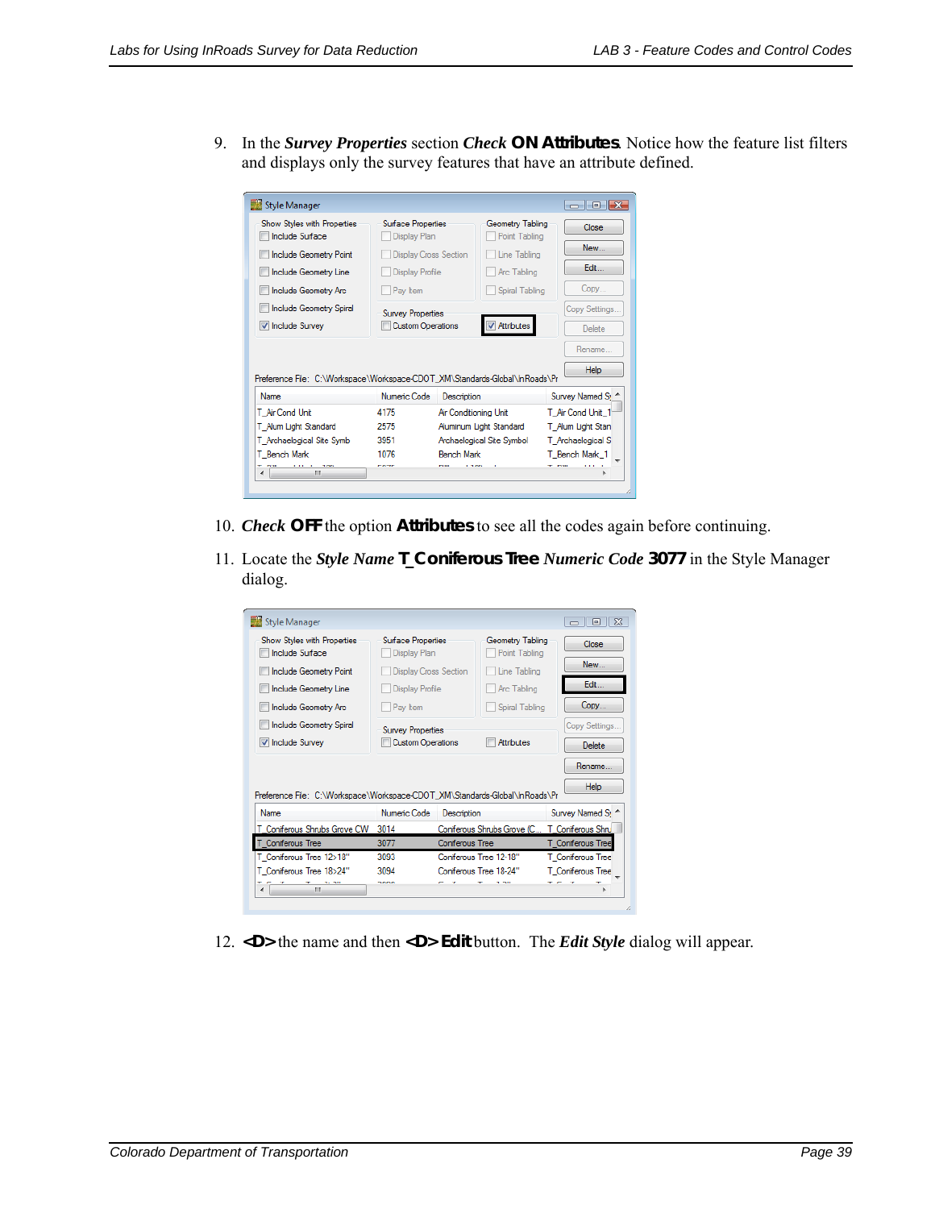9. In the *Survey Properties* section *Check* **ON Attributes**. Notice how the feature list filters and displays only the survey features that have an attribute defined.

| Show Styles with Properties<br><b>Include Surface</b>                                       | Surface Properties<br>Display Plan |                              | Geometry Tabling<br>Point Tabling |              | Close                       |
|---------------------------------------------------------------------------------------------|------------------------------------|------------------------------|-----------------------------------|--------------|-----------------------------|
| Include Geometry Point                                                                      |                                    | <b>Display Cross Section</b> |                                   | Line Tabling | New                         |
| Include Geometry Line                                                                       | <b>Display Profile</b>             |                              | Arc Tabling                       |              | Edit                        |
| Include Geometry Arc                                                                        | Pay Item                           |                              | Spiral Tabling                    |              | Copy                        |
| Include Geometry Spiral                                                                     | <b>Survey Properties</b>           |                              |                                   |              | Copy Settings               |
|                                                                                             |                                    |                              |                                   |              |                             |
| <b>V</b> Include Survey                                                                     | <b>Custom Operations</b>           |                              | <b>V</b> Attributes               |              | <b>Delete</b>               |
|                                                                                             |                                    |                              |                                   |              | Rename<br><b>Help</b>       |
| <b>Name</b>                                                                                 | Numeric Code                       | Description                  |                                   |              | Survey Named S <sub>1</sub> |
|                                                                                             | 4175                               | Air Conditioning Unit        |                                   |              | T Air Cond Unit 1           |
|                                                                                             | 2575                               |                              | Aluminum Light Standard           |              | T Alum Light Stan           |
| T Air Cond Unit<br>T Alum Light Standard<br>T_Archaelogical Site Symb                       | 3951                               |                              | Archaelogical Site Symbol         |              | T_Archaelogical S           |
| Preference File: C:\Workspace\Workspace-CDOT XM\Standards-Global\InRoads\Pr<br>T Bench Mark | 1076                               | <b>Bench Mark</b>            |                                   |              | T Bench Mark 1              |

- 10. *Check* **OFF** the option **Attributes** to see all the codes again before continuing.
- 11. Locate the *Style Name* **T\_Coniferous Tree** *Numeric Code* **3077** in the Style Manager dialog.

| Style Manager                                                               |                                    |                        |                                   | $\Sigma$<br>回<br>$\Box$     |
|-----------------------------------------------------------------------------|------------------------------------|------------------------|-----------------------------------|-----------------------------|
| Show Styles with Properties<br><b>Include Surface</b>                       | Surface Properties<br>Display Plan |                        | Geometry Tabling<br>Point Tabling | Close                       |
| <b>Include Geometry Point</b>                                               | <b>Display Cross Section</b>       |                        | Line Tabling                      | New                         |
| Include Geometry Line                                                       | <b>Display Profile</b>             |                        | Arc Tabling                       | Edit                        |
| Include Geometry Arc                                                        | Pav Item                           |                        | Spiral Tabling                    | Copy                        |
| <b>Include Geometry Spiral</b>                                              | <b>Survey Properties</b>           |                        |                                   | Copy Settings               |
| <b>V</b> Include Survey                                                     | <b>Custom Operations</b>           |                        | Attributes                        | Delete                      |
| Preference File: C:\Workspace\Workspace-CDOT XM\Standards-Global\InRoads\Pr |                                    |                        |                                   | Rename<br>Help              |
| <b>Name</b>                                                                 | Numeric Code                       | Description            |                                   |                             |
|                                                                             |                                    |                        |                                   | Survey Named S <sub>1</sub> |
| T Coniferous Shrubs Grove CW                                                | 3014                               |                        | Coniferous Shrubs Grove (C        | T Coniferous Shru           |
| T Coniferous Tree                                                           | 3077                               | <b>Coniferous Tree</b> |                                   | T_Coniferous Tree           |
| T Coniferous Tree 12>18"                                                    | 3093                               | Coniferous Tree 12-18" |                                   | T Coniferous Tree           |

12. **<D>** the name and then **<D> Edit** button. The *Edit Style* dialog will appear.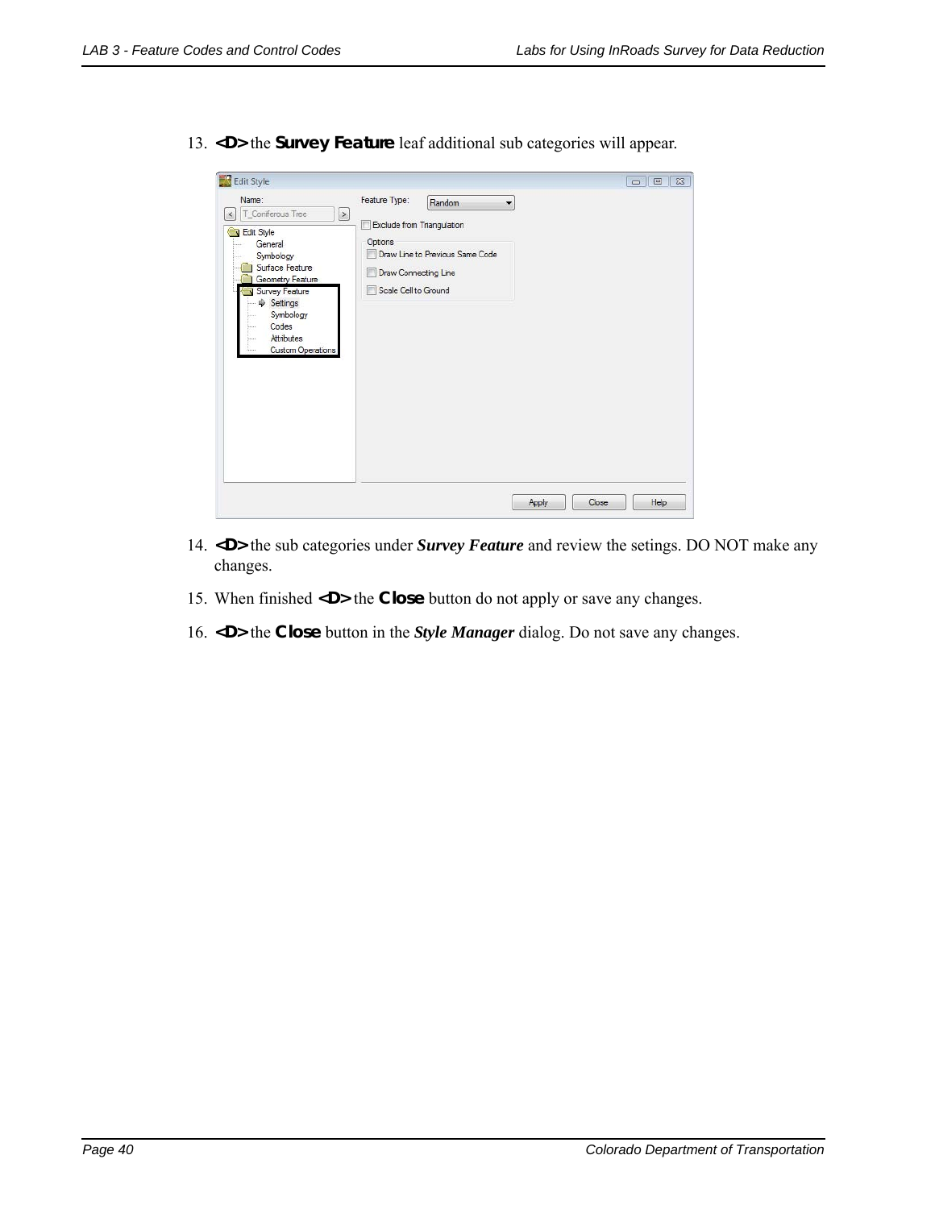|                                                                                                                                                                                                                               | Feature Type:<br>Random<br>$\overline{\mathbf{v}}$                                                                            |  |
|-------------------------------------------------------------------------------------------------------------------------------------------------------------------------------------------------------------------------------|-------------------------------------------------------------------------------------------------------------------------------|--|
| T_Coniferous Tree<br>$\geq$<br>$\,<$<br>Edit Style<br>General<br>Symbology<br>Surface Feature<br>Geometry Feature<br>Survey Feature<br>$\Rightarrow$ Settings<br>Symbology<br>Codes<br>Attributes<br><b>Custom Operations</b> | Exclude from Triangulation<br>m<br>Options<br>Draw Line to Previous Same Code<br>Draw Connecting Line<br>Scale Cell to Ground |  |

13. **<D>** the **Survey Feature** leaf additional sub categories will appear.

- 14. **<D>** the sub categories under *Survey Feature* and review the setings. DO NOT make any changes.
- 15. When finished **<D>** the **Close** button do not apply or save any changes.
- 16. **<D>** the **Close** button in the *Style Manager* dialog. Do not save any changes.